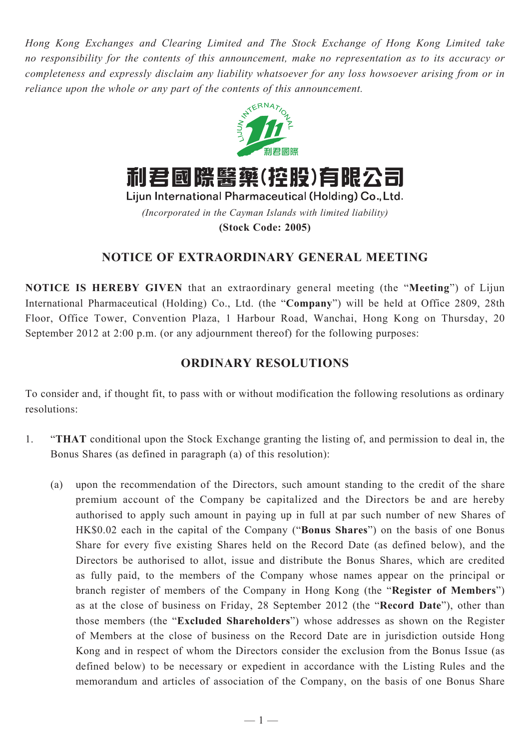*Hong Kong Exchanges and Clearing Limited and The Stock Exchange of Hong Kong Limited take no responsibility for the contents of this announcement, make no representation as to its accuracy or completeness and expressly disclaim any liability whatsoever for any loss howsoever arising from or in reliance upon the whole or any part of the contents of this announcement.*



利君國際醫藥(控股)有限公司

Lijun International Pharmaceutical (Holding) Co., Ltd. *(Incorporated in the Cayman Islands with limited liability)* **(Stock Code: 2005)**

## **notice of extraordinary general meeting**

**NOTICE IS HEREBY GIVEN** that an extraordinary general meeting (the "**Meeting**") of Lijun International Pharmaceutical (Holding) Co., Ltd. (the "**Company**") will be held at Office 2809, 28th Floor, Office Tower, Convention Plaza, 1 Harbour Road, Wanchai, Hong Kong on Thursday, 20 September 2012 at 2:00 p.m. (or any adjournment thereof) for the following purposes:

## **ORDINARY RESOLUTIONS**

To consider and, if thought fit, to pass with or without modification the following resolutions as ordinary resolutions:

- 1. "**THAT** conditional upon the Stock Exchange granting the listing of, and permission to deal in, the Bonus Shares (as defined in paragraph (a) of this resolution):
	- (a) upon the recommendation of the Directors, such amount standing to the credit of the share premium account of the Company be capitalized and the Directors be and are hereby authorised to apply such amount in paying up in full at par such number of new Shares of HK\$0.02 each in the capital of the Company ("**Bonus Shares**") on the basis of one Bonus Share for every five existing Shares held on the Record Date (as defined below), and the Directors be authorised to allot, issue and distribute the Bonus Shares, which are credited as fully paid, to the members of the Company whose names appear on the principal or branch register of members of the Company in Hong Kong (the "**Register of Members**") as at the close of business on Friday, 28 September 2012 (the "**Record Date**"), other than those members (the "**Excluded Shareholders**") whose addresses as shown on the Register of Members at the close of business on the Record Date are in jurisdiction outside Hong Kong and in respect of whom the Directors consider the exclusion from the Bonus Issue (as defined below) to be necessary or expedient in accordance with the Listing Rules and the memorandum and articles of association of the Company, on the basis of one Bonus Share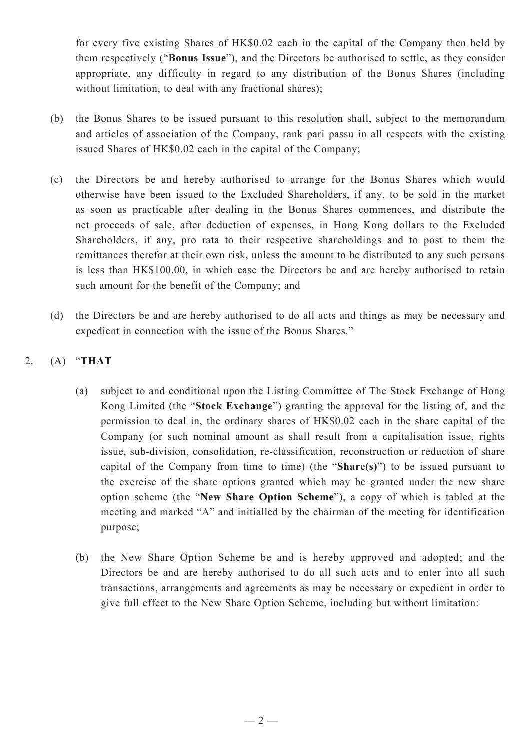for every five existing Shares of HK\$0.02 each in the capital of the Company then held by them respectively ("**Bonus Issue**"), and the Directors be authorised to settle, as they consider appropriate, any difficulty in regard to any distribution of the Bonus Shares (including without limitation, to deal with any fractional shares);

- (b) the Bonus Shares to be issued pursuant to this resolution shall, subject to the memorandum and articles of association of the Company, rank pari passu in all respects with the existing issued Shares of HK\$0.02 each in the capital of the Company;
- (c) the Directors be and hereby authorised to arrange for the Bonus Shares which would otherwise have been issued to the Excluded Shareholders, if any, to be sold in the market as soon as practicable after dealing in the Bonus Shares commences, and distribute the net proceeds of sale, after deduction of expenses, in Hong Kong dollars to the Excluded Shareholders, if any, pro rata to their respective shareholdings and to post to them the remittances therefor at their own risk, unless the amount to be distributed to any such persons is less than HK\$100.00, in which case the Directors be and are hereby authorised to retain such amount for the benefit of the Company; and
- (d) the Directors be and are hereby authorised to do all acts and things as may be necessary and expedient in connection with the issue of the Bonus Shares."

## 2. (A) "**THAT**

- (a) subject to and conditional upon the Listing Committee of The Stock Exchange of Hong Kong Limited (the "**Stock Exchange**") granting the approval for the listing of, and the permission to deal in, the ordinary shares of HK\$0.02 each in the share capital of the Company (or such nominal amount as shall result from a capitalisation issue, rights issue, sub-division, consolidation, re-classification, reconstruction or reduction of share capital of the Company from time to time) (the "**Share(s)**") to be issued pursuant to the exercise of the share options granted which may be granted under the new share option scheme (the "**New Share Option Scheme**"), a copy of which is tabled at the meeting and marked "A" and initialled by the chairman of the meeting for identification purpose;
- (b) the New Share Option Scheme be and is hereby approved and adopted; and the Directors be and are hereby authorised to do all such acts and to enter into all such transactions, arrangements and agreements as may be necessary or expedient in order to give full effect to the New Share Option Scheme, including but without limitation: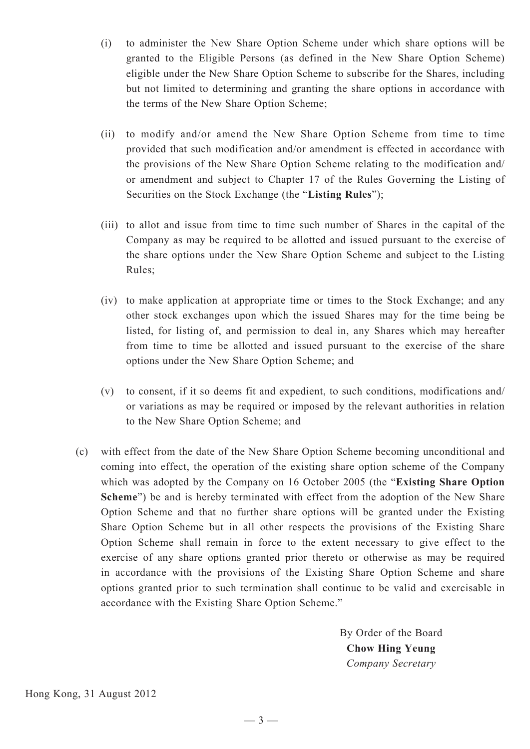- (i) to administer the New Share Option Scheme under which share options will be granted to the Eligible Persons (as defined in the New Share Option Scheme) eligible under the New Share Option Scheme to subscribe for the Shares, including but not limited to determining and granting the share options in accordance with the terms of the New Share Option Scheme;
- (ii) to modify and/or amend the New Share Option Scheme from time to time provided that such modification and/or amendment is effected in accordance with the provisions of the New Share Option Scheme relating to the modification and/ or amendment and subject to Chapter 17 of the Rules Governing the Listing of Securities on the Stock Exchange (the "**Listing Rules**");
- (iii) to allot and issue from time to time such number of Shares in the capital of the Company as may be required to be allotted and issued pursuant to the exercise of the share options under the New Share Option Scheme and subject to the Listing Rules;
- (iv) to make application at appropriate time or times to the Stock Exchange; and any other stock exchanges upon which the issued Shares may for the time being be listed, for listing of, and permission to deal in, any Shares which may hereafter from time to time be allotted and issued pursuant to the exercise of the share options under the New Share Option Scheme; and
- (v) to consent, if it so deems fit and expedient, to such conditions, modifications and/ or variations as may be required or imposed by the relevant authorities in relation to the New Share Option Scheme; and
- (c) with effect from the date of the New Share Option Scheme becoming unconditional and coming into effect, the operation of the existing share option scheme of the Company which was adopted by the Company on 16 October 2005 (the "**Existing Share Option Scheme**") be and is hereby terminated with effect from the adoption of the New Share Option Scheme and that no further share options will be granted under the Existing Share Option Scheme but in all other respects the provisions of the Existing Share Option Scheme shall remain in force to the extent necessary to give effect to the exercise of any share options granted prior thereto or otherwise as may be required in accordance with the provisions of the Existing Share Option Scheme and share options granted prior to such termination shall continue to be valid and exercisable in accordance with the Existing Share Option Scheme."

By Order of the Board **Chow Hing Yeung** *Company Secretary*